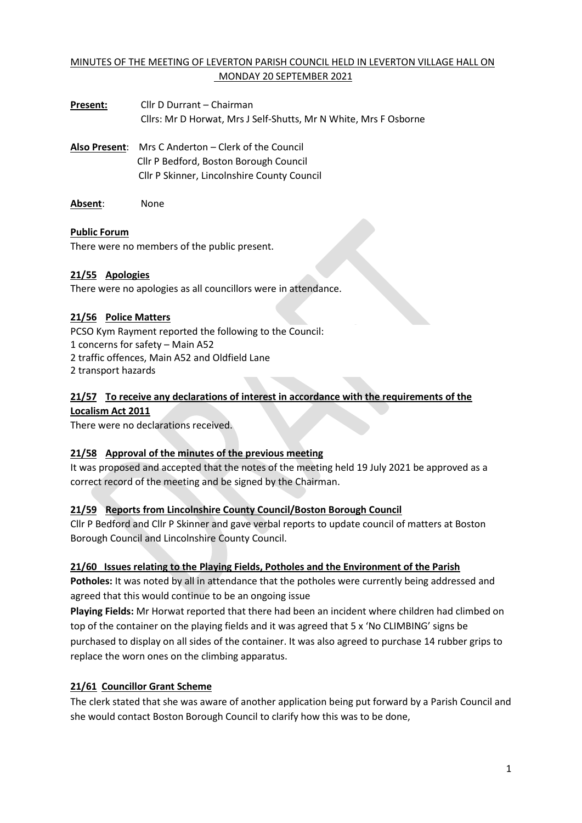### MINUTES OF THE MEETING OF LEVERTON PARISH COUNCIL HELD IN LEVERTON VILLAGE HALL ON MONDAY 20 SEPTEMBER 2021

| Present: | Cllr D Durrant – Chairman                                        |
|----------|------------------------------------------------------------------|
|          | Cllrs: Mr D Horwat, Mrs J Self-Shutts, Mr N White, Mrs F Osborne |

**Also Present**: Mrs C Anderton – Clerk of the Council Cllr P Bedford, Boston Borough Council Cllr P Skinner, Lincolnshire County Council

**Absent**: None

#### **Public Forum**

There were no members of the public present.

#### **21/55 Apologies**

There were no apologies as all councillors were in attendance.

#### **21/56 Police Matters**

PCSO Kym Rayment reported the following to the Council: 1 concerns for safety – Main A52 2 traffic offences, Main A52 and Oldfield Lane 2 transport hazards

#### **21/57 To receive any declarations of interest in accordance with the requirements of the Localism Act 2011**

There were no declarations received.

# **21/58 Approval of the minutes of the previous meeting**

It was proposed and accepted that the notes of the meeting held 19 July 2021 be approved as a correct record of the meeting and be signed by the Chairman.

#### **21/59 Reports from Lincolnshire County Council/Boston Borough Council**

Cllr P Bedford and Cllr P Skinner and gave verbal reports to update council of matters at Boston Borough Council and Lincolnshire County Council.

#### **21/60 Issues relating to the Playing Fields, Potholes and the Environment of the Parish**

**Potholes:** It was noted by all in attendance that the potholes were currently being addressed and agreed that this would continue to be an ongoing issue

**Playing Fields:** Mr Horwat reported that there had been an incident where children had climbed on top of the container on the playing fields and it was agreed that 5 x 'No CLIMBING' signs be purchased to display on all sides of the container. It was also agreed to purchase 14 rubber grips to replace the worn ones on the climbing apparatus.

#### **21/61 Councillor Grant Scheme**

The clerk stated that she was aware of another application being put forward by a Parish Council and she would contact Boston Borough Council to clarify how this was to be done,